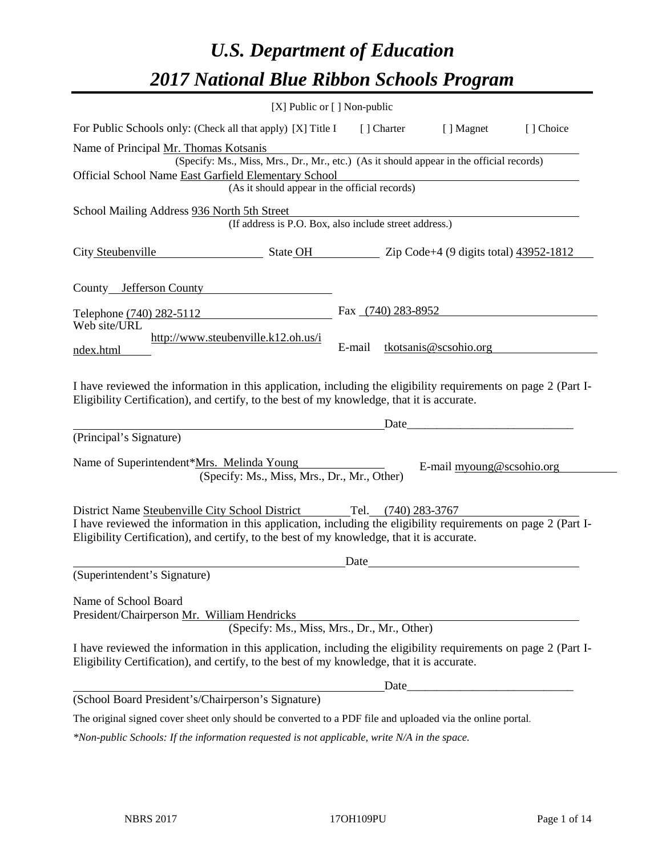# *U.S. Department of Education 2017 National Blue Ribbon Schools Program*

|                                                                                                                                                                                                                                                                 | $[X]$ Public or $[ \ ]$ Non-public                                                                                                        |        |                    |                                                                                                                                                                                                                                      |            |
|-----------------------------------------------------------------------------------------------------------------------------------------------------------------------------------------------------------------------------------------------------------------|-------------------------------------------------------------------------------------------------------------------------------------------|--------|--------------------|--------------------------------------------------------------------------------------------------------------------------------------------------------------------------------------------------------------------------------------|------------|
| For Public Schools only: (Check all that apply) [X] Title I                                                                                                                                                                                                     |                                                                                                                                           |        | [ ] Charter        | [ ] Magnet                                                                                                                                                                                                                           | [ ] Choice |
| Name of Principal Mr. Thomas Kotsanis<br>Official School Name East Garfield Elementary School                                                                                                                                                                   | (Specify: Ms., Miss, Mrs., Dr., Mr., etc.) (As it should appear in the official records)<br>(As it should appear in the official records) |        |                    |                                                                                                                                                                                                                                      |            |
| School Mailing Address 936 North 5th Street                                                                                                                                                                                                                     | (If address is P.O. Box, also include street address.)                                                                                    |        |                    |                                                                                                                                                                                                                                      |            |
| City Steubenville                                                                                                                                                                                                                                               | $\frac{\text{State OH}}{\text{2ip Code+4 (9 digits total)} \cdot \frac{33952-1812}{2}}$                                                   |        |                    |                                                                                                                                                                                                                                      |            |
| County Jefferson County                                                                                                                                                                                                                                         |                                                                                                                                           |        |                    |                                                                                                                                                                                                                                      |            |
| Telephone (740) 282-5112                                                                                                                                                                                                                                        |                                                                                                                                           |        | Fax (740) 283-8952 |                                                                                                                                                                                                                                      |            |
| Web site/URL<br>ndex.html                                                                                                                                                                                                                                       | http://www.steubenville.k12.oh.us/i                                                                                                       | E-mail |                    | tkotsanis@scsohio.org                                                                                                                                                                                                                |            |
| I have reviewed the information in this application, including the eligibility requirements on page 2 (Part I-<br>Eligibility Certification), and certify, to the best of my knowledge, that it is accurate.                                                    |                                                                                                                                           |        |                    |                                                                                                                                                                                                                                      |            |
| (Principal's Signature)                                                                                                                                                                                                                                         |                                                                                                                                           |        | Date               |                                                                                                                                                                                                                                      |            |
| Name of Superintendent*Mrs. Melinda Young                                                                                                                                                                                                                       | (Specify: Ms., Miss, Mrs., Dr., Mr., Other)                                                                                               |        |                    | E-mail myoung@scsohio.org                                                                                                                                                                                                            |            |
| District Name Steubenville City School District<br>I have reviewed the information in this application, including the eligibility requirements on page 2 (Part I-<br>Eligibility Certification), and certify, to the best of my knowledge, that it is accurate. |                                                                                                                                           | Tel.   | $(740)$ 283-3767   |                                                                                                                                                                                                                                      |            |
| (Superintendent's Signature)                                                                                                                                                                                                                                    |                                                                                                                                           | Date   |                    | <u>and the state of the state of the state of the state of the state of the state of the state of the state of the state of the state of the state of the state of the state of the state of the state of the state of the state</u> |            |
| Name of School Board<br>President/Chairperson Mr. William Hendricks                                                                                                                                                                                             | (Specify: Ms., Miss, Mrs., Dr., Mr., Other)                                                                                               |        |                    |                                                                                                                                                                                                                                      |            |
| I have reviewed the information in this application, including the eligibility requirements on page 2 (Part I-<br>Eligibility Certification), and certify, to the best of my knowledge, that it is accurate.                                                    |                                                                                                                                           |        |                    |                                                                                                                                                                                                                                      |            |
|                                                                                                                                                                                                                                                                 |                                                                                                                                           |        |                    |                                                                                                                                                                                                                                      |            |
| (School Board President's/Chairperson's Signature)                                                                                                                                                                                                              |                                                                                                                                           |        |                    |                                                                                                                                                                                                                                      |            |
| The original signed cover sheet only should be converted to a PDF file and uploaded via the online portal.                                                                                                                                                      |                                                                                                                                           |        |                    |                                                                                                                                                                                                                                      |            |

*\*Non-public Schools: If the information requested is not applicable, write N/A in the space.*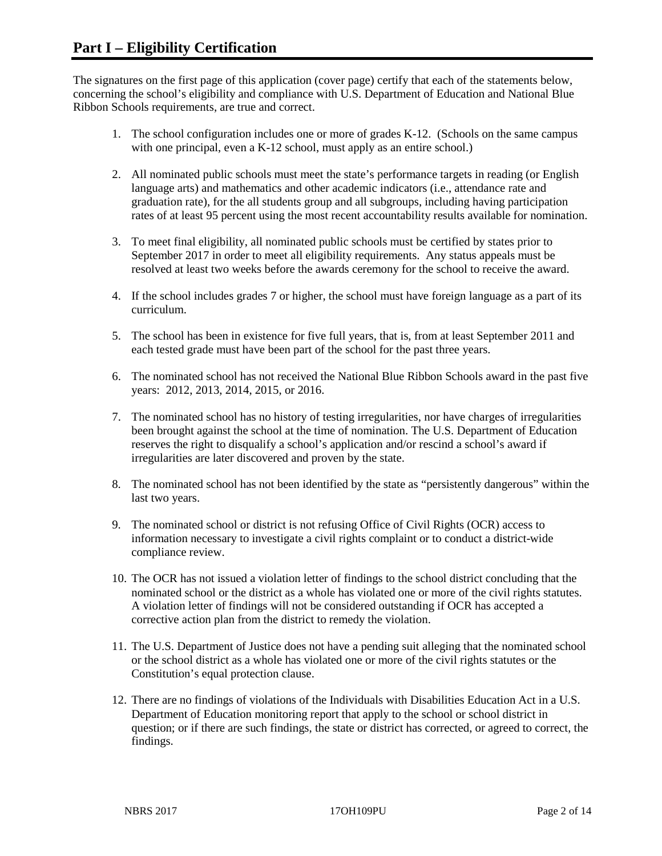The signatures on the first page of this application (cover page) certify that each of the statements below, concerning the school's eligibility and compliance with U.S. Department of Education and National Blue Ribbon Schools requirements, are true and correct.

- 1. The school configuration includes one or more of grades K-12. (Schools on the same campus with one principal, even a K-12 school, must apply as an entire school.)
- 2. All nominated public schools must meet the state's performance targets in reading (or English language arts) and mathematics and other academic indicators (i.e., attendance rate and graduation rate), for the all students group and all subgroups, including having participation rates of at least 95 percent using the most recent accountability results available for nomination.
- 3. To meet final eligibility, all nominated public schools must be certified by states prior to September 2017 in order to meet all eligibility requirements. Any status appeals must be resolved at least two weeks before the awards ceremony for the school to receive the award.
- 4. If the school includes grades 7 or higher, the school must have foreign language as a part of its curriculum.
- 5. The school has been in existence for five full years, that is, from at least September 2011 and each tested grade must have been part of the school for the past three years.
- 6. The nominated school has not received the National Blue Ribbon Schools award in the past five years: 2012, 2013, 2014, 2015, or 2016.
- 7. The nominated school has no history of testing irregularities, nor have charges of irregularities been brought against the school at the time of nomination. The U.S. Department of Education reserves the right to disqualify a school's application and/or rescind a school's award if irregularities are later discovered and proven by the state.
- 8. The nominated school has not been identified by the state as "persistently dangerous" within the last two years.
- 9. The nominated school or district is not refusing Office of Civil Rights (OCR) access to information necessary to investigate a civil rights complaint or to conduct a district-wide compliance review.
- 10. The OCR has not issued a violation letter of findings to the school district concluding that the nominated school or the district as a whole has violated one or more of the civil rights statutes. A violation letter of findings will not be considered outstanding if OCR has accepted a corrective action plan from the district to remedy the violation.
- 11. The U.S. Department of Justice does not have a pending suit alleging that the nominated school or the school district as a whole has violated one or more of the civil rights statutes or the Constitution's equal protection clause.
- 12. There are no findings of violations of the Individuals with Disabilities Education Act in a U.S. Department of Education monitoring report that apply to the school or school district in question; or if there are such findings, the state or district has corrected, or agreed to correct, the findings.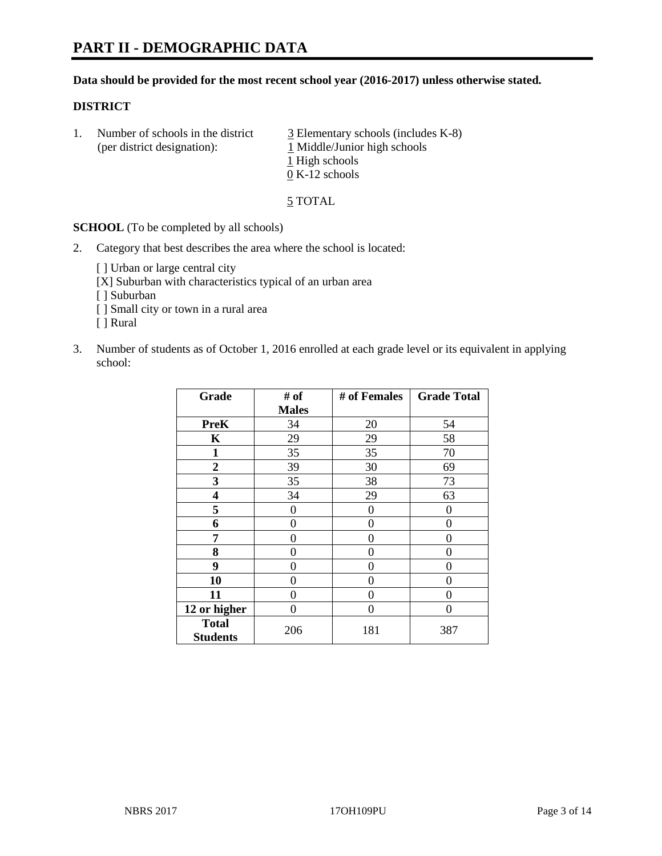#### **Data should be provided for the most recent school year (2016-2017) unless otherwise stated.**

#### **DISTRICT**

1. Number of schools in the district  $\frac{3}{2}$  Elementary schools (includes K-8) (per district designation): 1 Middle/Junior high schools 1 High schools 0 K-12 schools

5 TOTAL

**SCHOOL** (To be completed by all schools)

2. Category that best describes the area where the school is located:

[] Urban or large central city [X] Suburban with characteristics typical of an urban area

[ ] Suburban

- [ ] Small city or town in a rural area
- [ ] Rural
- 3. Number of students as of October 1, 2016 enrolled at each grade level or its equivalent in applying school:

| Grade                           | # of         | # of Females | <b>Grade Total</b> |
|---------------------------------|--------------|--------------|--------------------|
|                                 | <b>Males</b> |              |                    |
| <b>PreK</b>                     | 34           | 20           | 54                 |
| $\mathbf K$                     | 29           | 29           | 58                 |
| 1                               | 35           | 35           | 70                 |
| 2                               | 39           | 30           | 69                 |
| 3                               | 35           | 38           | 73                 |
| 4                               | 34           | 29           | 63                 |
| 5                               | 0            | 0            | $\theta$           |
| 6                               | 0            | 0            | 0                  |
| 7                               | 0            | 0            | 0                  |
| 8                               | 0            | 0            | 0                  |
| 9                               | 0            | 0            | 0                  |
| 10                              | 0            | 0            | 0                  |
| 11                              | 0            | 0            | $\mathbf{\Omega}$  |
| 12 or higher                    | 0            | 0            | 0                  |
| <b>Total</b><br><b>Students</b> | 206          | 181          | 387                |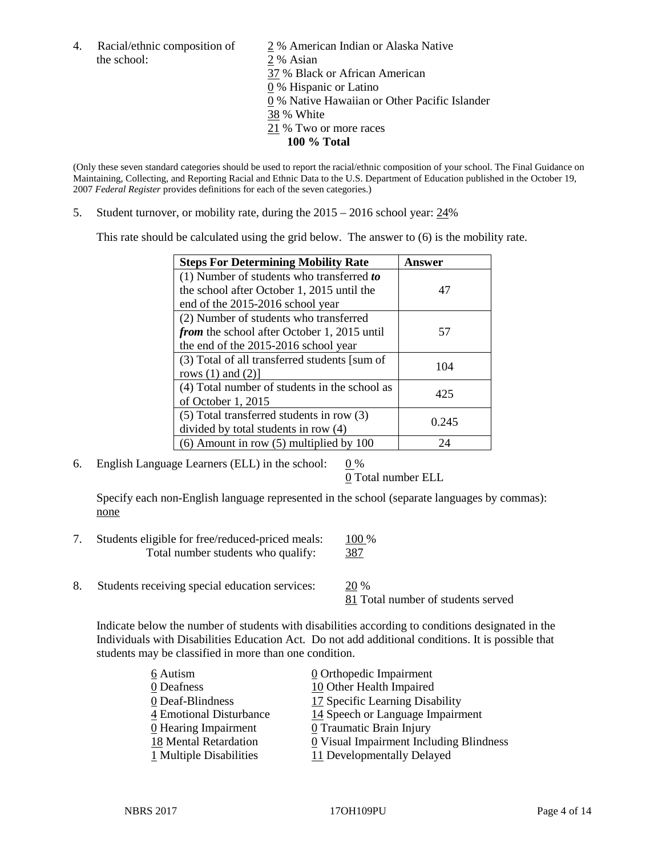the school: 2 % Asian

4. Racial/ethnic composition of  $\frac{2}{9}$ % American Indian or Alaska Native 37 % Black or African American 0 % Hispanic or Latino 0 % Native Hawaiian or Other Pacific Islander 38 % White 21 % Two or more races **100 % Total**

(Only these seven standard categories should be used to report the racial/ethnic composition of your school. The Final Guidance on Maintaining, Collecting, and Reporting Racial and Ethnic Data to the U.S. Department of Education published in the October 19, 2007 *Federal Register* provides definitions for each of the seven categories.)

5. Student turnover, or mobility rate, during the 2015 – 2016 school year: 24%

This rate should be calculated using the grid below. The answer to (6) is the mobility rate.

| <b>Steps For Determining Mobility Rate</b>         | Answer |
|----------------------------------------------------|--------|
| (1) Number of students who transferred to          |        |
| the school after October 1, 2015 until the         | 47     |
| end of the 2015-2016 school year                   |        |
| (2) Number of students who transferred             |        |
| <i>from</i> the school after October 1, 2015 until | 57     |
| the end of the 2015-2016 school year               |        |
| (3) Total of all transferred students [sum of      | 104    |
| rows $(1)$ and $(2)$ ]                             |        |
| (4) Total number of students in the school as      | 425    |
| of October 1, 2015                                 |        |
| $(5)$ Total transferred students in row $(3)$      |        |
| divided by total students in row (4)               | 0.245  |
| $(6)$ Amount in row $(5)$ multiplied by 100        | 24     |

6. English Language Learners (ELL) in the school:  $0\%$ 

0 Total number ELL

Specify each non-English language represented in the school (separate languages by commas): none

| Students eligible for free/reduced-priced meals: | 100 %       |
|--------------------------------------------------|-------------|
| Total number students who qualify:               | 387<br>$ -$ |

8. Students receiving special education services: 20 %

81 Total number of students served

Indicate below the number of students with disabilities according to conditions designated in the Individuals with Disabilities Education Act. Do not add additional conditions. It is possible that students may be classified in more than one condition.

| 6 Autism                  | $\underline{0}$ Orthopedic Impairment   |
|---------------------------|-----------------------------------------|
| 0 Deafness                | 10 Other Health Impaired                |
| 0 Deaf-Blindness          | 17 Specific Learning Disability         |
| 4 Emotional Disturbance   | 14 Speech or Language Impairment        |
| 0 Hearing Impairment      | 0 Traumatic Brain Injury                |
| 18 Mental Retardation     | 0 Visual Impairment Including Blindness |
| $1$ Multiple Disabilities | 11 Developmentally Delayed              |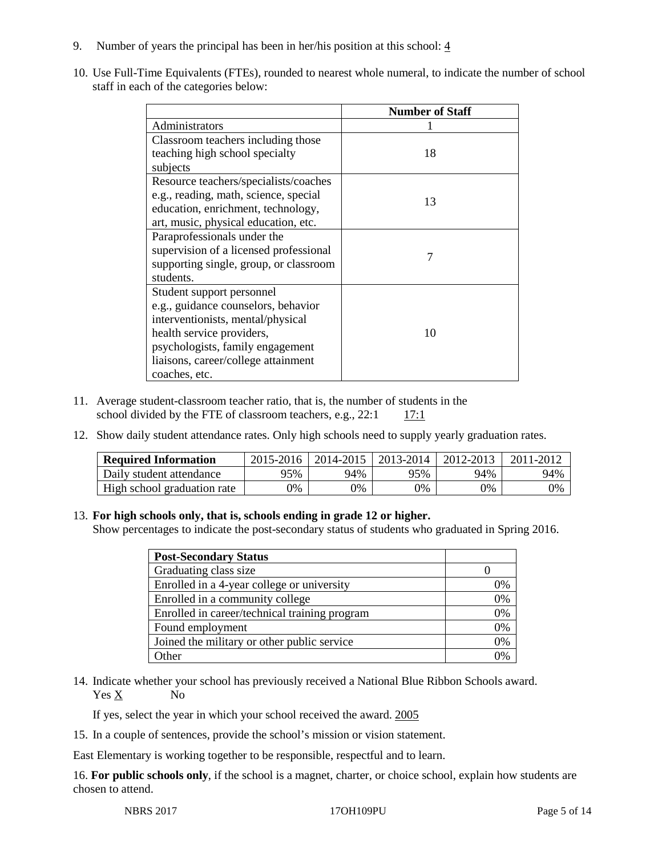- 9. Number of years the principal has been in her/his position at this school:  $\frac{4}{3}$
- 10. Use Full-Time Equivalents (FTEs), rounded to nearest whole numeral, to indicate the number of school staff in each of the categories below:

|                                        | <b>Number of Staff</b> |
|----------------------------------------|------------------------|
| Administrators                         |                        |
| Classroom teachers including those     |                        |
| teaching high school specialty         | 18                     |
| subjects                               |                        |
| Resource teachers/specialists/coaches  |                        |
| e.g., reading, math, science, special  | 13                     |
| education, enrichment, technology,     |                        |
| art, music, physical education, etc.   |                        |
| Paraprofessionals under the            |                        |
| supervision of a licensed professional |                        |
| supporting single, group, or classroom |                        |
| students.                              |                        |
| Student support personnel              |                        |
| e.g., guidance counselors, behavior    |                        |
| interventionists, mental/physical      |                        |
| health service providers,              | 10                     |
| psychologists, family engagement       |                        |
| liaisons, career/college attainment    |                        |
| coaches, etc.                          |                        |

- 11. Average student-classroom teacher ratio, that is, the number of students in the school divided by the FTE of classroom teachers, e.g.,  $22:1$  17:1
- 12. Show daily student attendance rates. Only high schools need to supply yearly graduation rates.

| <b>Required Information</b> | 2015-2016 | 2014-2015 | 2013-2014 | 2012-2013 |     |
|-----------------------------|-----------|-----------|-----------|-----------|-----|
| Daily student attendance    | $95\%$    | 94%       | 95%       | 94%       | 94% |
| High school graduation rate | 0%        | 0%        | 0%        | 9%        | 0%  |

#### 13. **For high schools only, that is, schools ending in grade 12 or higher.**

Show percentages to indicate the post-secondary status of students who graduated in Spring 2016.

| <b>Post-Secondary Status</b>                  |    |
|-----------------------------------------------|----|
| Graduating class size                         |    |
| Enrolled in a 4-year college or university    | 0% |
| Enrolled in a community college               | 0% |
| Enrolled in career/technical training program | 0% |
| Found employment                              | 0% |
| Joined the military or other public service   | 0% |
| Other                                         |    |

14. Indicate whether your school has previously received a National Blue Ribbon Schools award. Yes X No

If yes, select the year in which your school received the award. 2005

15. In a couple of sentences, provide the school's mission or vision statement.

East Elementary is working together to be responsible, respectful and to learn.

16. **For public schools only**, if the school is a magnet, charter, or choice school, explain how students are chosen to attend.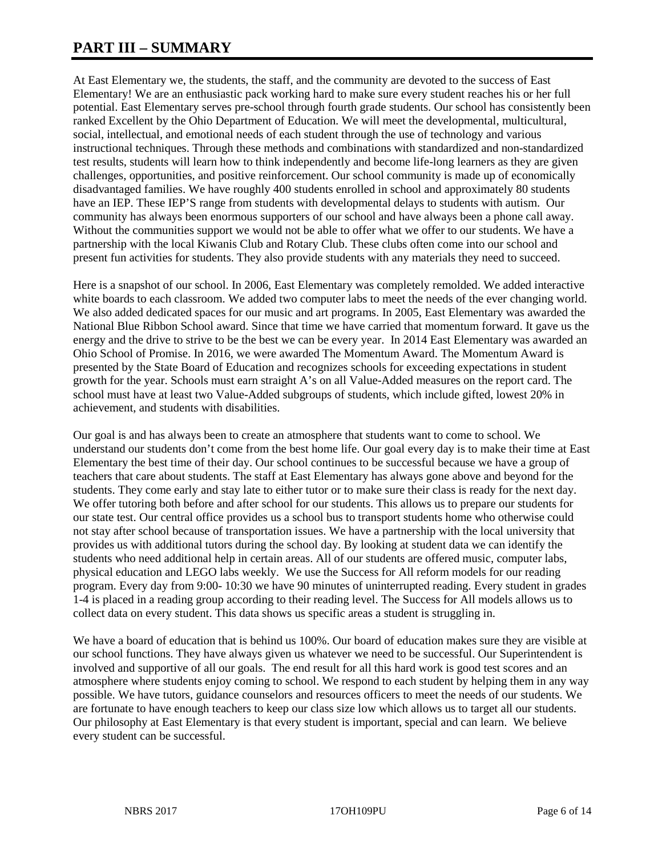# **PART III – SUMMARY**

At East Elementary we, the students, the staff, and the community are devoted to the success of East Elementary! We are an enthusiastic pack working hard to make sure every student reaches his or her full potential. East Elementary serves pre-school through fourth grade students. Our school has consistently been ranked Excellent by the Ohio Department of Education. We will meet the developmental, multicultural, social, intellectual, and emotional needs of each student through the use of technology and various instructional techniques. Through these methods and combinations with standardized and non-standardized test results, students will learn how to think independently and become life-long learners as they are given challenges, opportunities, and positive reinforcement. Our school community is made up of economically disadvantaged families. We have roughly 400 students enrolled in school and approximately 80 students have an IEP. These IEP'S range from students with developmental delays to students with autism. Our community has always been enormous supporters of our school and have always been a phone call away. Without the communities support we would not be able to offer what we offer to our students. We have a partnership with the local Kiwanis Club and Rotary Club. These clubs often come into our school and present fun activities for students. They also provide students with any materials they need to succeed.

Here is a snapshot of our school. In 2006, East Elementary was completely remolded. We added interactive white boards to each classroom. We added two computer labs to meet the needs of the ever changing world. We also added dedicated spaces for our music and art programs. In 2005, East Elementary was awarded the National Blue Ribbon School award. Since that time we have carried that momentum forward. It gave us the energy and the drive to strive to be the best we can be every year. In 2014 East Elementary was awarded an Ohio School of Promise. In 2016, we were awarded The Momentum Award. The Momentum Award is presented by the State Board of Education and recognizes schools for exceeding expectations in student growth for the year. Schools must earn straight A's on all Value-Added measures on the report card. The school must have at least two Value-Added subgroups of students, which include gifted, lowest 20% in achievement, and students with disabilities.

Our goal is and has always been to create an atmosphere that students want to come to school. We understand our students don't come from the best home life. Our goal every day is to make their time at East Elementary the best time of their day. Our school continues to be successful because we have a group of teachers that care about students. The staff at East Elementary has always gone above and beyond for the students. They come early and stay late to either tutor or to make sure their class is ready for the next day. We offer tutoring both before and after school for our students. This allows us to prepare our students for our state test. Our central office provides us a school bus to transport students home who otherwise could not stay after school because of transportation issues. We have a partnership with the local university that provides us with additional tutors during the school day. By looking at student data we can identify the students who need additional help in certain areas. All of our students are offered music, computer labs, physical education and LEGO labs weekly. We use the Success for All reform models for our reading program. Every day from 9:00- 10:30 we have 90 minutes of uninterrupted reading. Every student in grades 1-4 is placed in a reading group according to their reading level. The Success for All models allows us to collect data on every student. This data shows us specific areas a student is struggling in.

We have a board of education that is behind us 100%. Our board of education makes sure they are visible at our school functions. They have always given us whatever we need to be successful. Our Superintendent is involved and supportive of all our goals. The end result for all this hard work is good test scores and an atmosphere where students enjoy coming to school. We respond to each student by helping them in any way possible. We have tutors, guidance counselors and resources officers to meet the needs of our students. We are fortunate to have enough teachers to keep our class size low which allows us to target all our students. Our philosophy at East Elementary is that every student is important, special and can learn. We believe every student can be successful.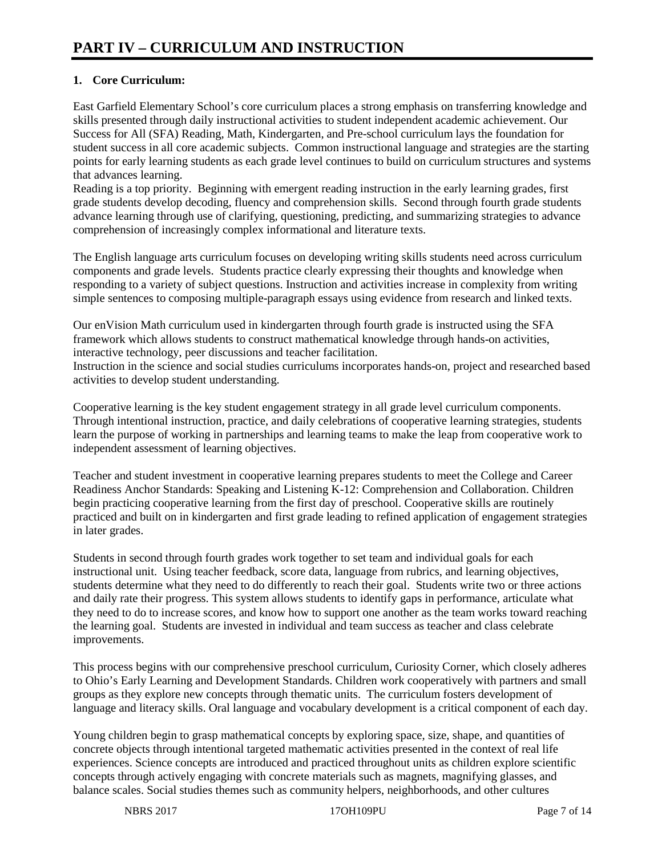## **1. Core Curriculum:**

East Garfield Elementary School's core curriculum places a strong emphasis on transferring knowledge and skills presented through daily instructional activities to student independent academic achievement. Our Success for All (SFA) Reading, Math, Kindergarten, and Pre-school curriculum lays the foundation for student success in all core academic subjects. Common instructional language and strategies are the starting points for early learning students as each grade level continues to build on curriculum structures and systems that advances learning.

Reading is a top priority. Beginning with emergent reading instruction in the early learning grades, first grade students develop decoding, fluency and comprehension skills. Second through fourth grade students advance learning through use of clarifying, questioning, predicting, and summarizing strategies to advance comprehension of increasingly complex informational and literature texts.

The English language arts curriculum focuses on developing writing skills students need across curriculum components and grade levels. Students practice clearly expressing their thoughts and knowledge when responding to a variety of subject questions. Instruction and activities increase in complexity from writing simple sentences to composing multiple-paragraph essays using evidence from research and linked texts.

Our enVision Math curriculum used in kindergarten through fourth grade is instructed using the SFA framework which allows students to construct mathematical knowledge through hands-on activities, interactive technology, peer discussions and teacher facilitation.

Instruction in the science and social studies curriculums incorporates hands-on, project and researched based activities to develop student understanding.

Cooperative learning is the key student engagement strategy in all grade level curriculum components. Through intentional instruction, practice, and daily celebrations of cooperative learning strategies, students learn the purpose of working in partnerships and learning teams to make the leap from cooperative work to independent assessment of learning objectives.

Teacher and student investment in cooperative learning prepares students to meet the College and Career Readiness Anchor Standards: Speaking and Listening K-12: Comprehension and Collaboration. Children begin practicing cooperative learning from the first day of preschool. Cooperative skills are routinely practiced and built on in kindergarten and first grade leading to refined application of engagement strategies in later grades.

Students in second through fourth grades work together to set team and individual goals for each instructional unit. Using teacher feedback, score data, language from rubrics, and learning objectives, students determine what they need to do differently to reach their goal. Students write two or three actions and daily rate their progress. This system allows students to identify gaps in performance, articulate what they need to do to increase scores, and know how to support one another as the team works toward reaching the learning goal. Students are invested in individual and team success as teacher and class celebrate improvements.

This process begins with our comprehensive preschool curriculum, Curiosity Corner, which closely adheres to Ohio's Early Learning and Development Standards. Children work cooperatively with partners and small groups as they explore new concepts through thematic units. The curriculum fosters development of language and literacy skills. Oral language and vocabulary development is a critical component of each day.

Young children begin to grasp mathematical concepts by exploring space, size, shape, and quantities of concrete objects through intentional targeted mathematic activities presented in the context of real life experiences. Science concepts are introduced and practiced throughout units as children explore scientific concepts through actively engaging with concrete materials such as magnets, magnifying glasses, and balance scales. Social studies themes such as community helpers, neighborhoods, and other cultures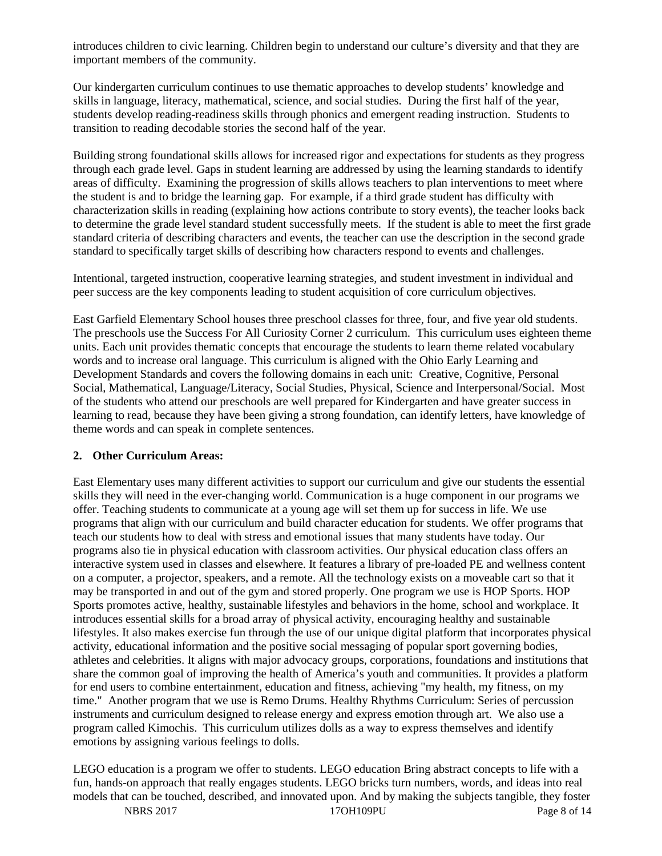introduces children to civic learning. Children begin to understand our culture's diversity and that they are important members of the community.

Our kindergarten curriculum continues to use thematic approaches to develop students' knowledge and skills in language, literacy, mathematical, science, and social studies. During the first half of the year, students develop reading-readiness skills through phonics and emergent reading instruction. Students to transition to reading decodable stories the second half of the year.

Building strong foundational skills allows for increased rigor and expectations for students as they progress through each grade level. Gaps in student learning are addressed by using the learning standards to identify areas of difficulty. Examining the progression of skills allows teachers to plan interventions to meet where the student is and to bridge the learning gap. For example, if a third grade student has difficulty with characterization skills in reading (explaining how actions contribute to story events), the teacher looks back to determine the grade level standard student successfully meets. If the student is able to meet the first grade standard criteria of describing characters and events, the teacher can use the description in the second grade standard to specifically target skills of describing how characters respond to events and challenges.

Intentional, targeted instruction, cooperative learning strategies, and student investment in individual and peer success are the key components leading to student acquisition of core curriculum objectives.

East Garfield Elementary School houses three preschool classes for three, four, and five year old students. The preschools use the Success For All Curiosity Corner 2 curriculum. This curriculum uses eighteen theme units. Each unit provides thematic concepts that encourage the students to learn theme related vocabulary words and to increase oral language. This curriculum is aligned with the Ohio Early Learning and Development Standards and covers the following domains in each unit: Creative, Cognitive, Personal Social, Mathematical, Language/Literacy, Social Studies, Physical, Science and Interpersonal/Social. Most of the students who attend our preschools are well prepared for Kindergarten and have greater success in learning to read, because they have been giving a strong foundation, can identify letters, have knowledge of theme words and can speak in complete sentences.

#### **2. Other Curriculum Areas:**

East Elementary uses many different activities to support our curriculum and give our students the essential skills they will need in the ever-changing world. Communication is a huge component in our programs we offer. Teaching students to communicate at a young age will set them up for success in life. We use programs that align with our curriculum and build character education for students. We offer programs that teach our students how to deal with stress and emotional issues that many students have today. Our programs also tie in physical education with classroom activities. Our physical education class offers an interactive system used in classes and elsewhere. It features a library of pre-loaded PE and wellness content on a computer, a projector, speakers, and a remote. All the technology exists on a moveable cart so that it may be transported in and out of the gym and stored properly. One program we use is HOP Sports. HOP Sports promotes active, healthy, sustainable lifestyles and behaviors in the home, school and workplace. It introduces essential skills for a broad array of physical activity, encouraging healthy and sustainable lifestyles. It also makes exercise fun through the use of our unique digital platform that incorporates physical activity, educational information and the positive social messaging of popular sport governing bodies, athletes and celebrities. It aligns with major advocacy groups, corporations, foundations and institutions that share the common goal of improving the health of America's youth and communities. It provides a platform for end users to combine entertainment, education and fitness, achieving "my health, my fitness, on my time." Another program that we use is Remo Drums. Healthy Rhythms Curriculum: Series of percussion instruments and curriculum designed to release energy and express emotion through art. We also use a program called Kimochis. This curriculum utilizes dolls as a way to express themselves and identify emotions by assigning various feelings to dolls.

LEGO education is a program we offer to students. LEGO education Bring abstract concepts to life with a fun, hands-on approach that really engages students. LEGO bricks turn numbers, words, and ideas into real models that can be touched, described, and innovated upon. And by making the subjects tangible, they foster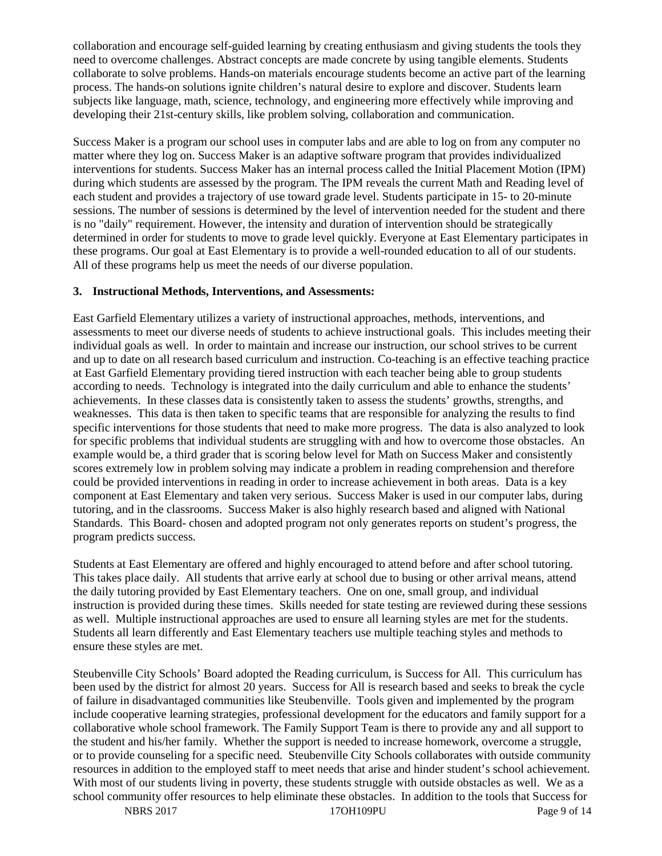collaboration and encourage self-guided learning by creating enthusiasm and giving students the tools they need to overcome challenges. Abstract concepts are made concrete by using tangible elements. Students collaborate to solve problems. Hands-on materials encourage students become an active part of the learning process. The hands-on solutions ignite children's natural desire to explore and discover. Students learn subjects like language, math, science, technology, and engineering more effectively while improving and developing their 21st-century skills, like problem solving, collaboration and communication.

Success Maker is a program our school uses in computer labs and are able to log on from any computer no matter where they log on. Success Maker is an adaptive software program that provides individualized interventions for students. Success Maker has an internal process called the Initial Placement Motion (IPM) during which students are assessed by the program. The IPM reveals the current Math and Reading level of each student and provides a trajectory of use toward grade level. Students participate in 15- to 20-minute sessions. The number of sessions is determined by the level of intervention needed for the student and there is no "daily" requirement. However, the intensity and duration of intervention should be strategically determined in order for students to move to grade level quickly. Everyone at East Elementary participates in these programs. Our goal at East Elementary is to provide a well-rounded education to all of our students. All of these programs help us meet the needs of our diverse population.

#### **3. Instructional Methods, Interventions, and Assessments:**

East Garfield Elementary utilizes a variety of instructional approaches, methods, interventions, and assessments to meet our diverse needs of students to achieve instructional goals. This includes meeting their individual goals as well. In order to maintain and increase our instruction, our school strives to be current and up to date on all research based curriculum and instruction. Co-teaching is an effective teaching practice at East Garfield Elementary providing tiered instruction with each teacher being able to group students according to needs. Technology is integrated into the daily curriculum and able to enhance the students' achievements. In these classes data is consistently taken to assess the students' growths, strengths, and weaknesses. This data is then taken to specific teams that are responsible for analyzing the results to find specific interventions for those students that need to make more progress. The data is also analyzed to look for specific problems that individual students are struggling with and how to overcome those obstacles. An example would be, a third grader that is scoring below level for Math on Success Maker and consistently scores extremely low in problem solving may indicate a problem in reading comprehension and therefore could be provided interventions in reading in order to increase achievement in both areas. Data is a key component at East Elementary and taken very serious. Success Maker is used in our computer labs, during tutoring, and in the classrooms. Success Maker is also highly research based and aligned with National Standards. This Board- chosen and adopted program not only generates reports on student's progress, the program predicts success.

Students at East Elementary are offered and highly encouraged to attend before and after school tutoring. This takes place daily. All students that arrive early at school due to busing or other arrival means, attend the daily tutoring provided by East Elementary teachers. One on one, small group, and individual instruction is provided during these times. Skills needed for state testing are reviewed during these sessions as well. Multiple instructional approaches are used to ensure all learning styles are met for the students. Students all learn differently and East Elementary teachers use multiple teaching styles and methods to ensure these styles are met.

Steubenville City Schools' Board adopted the Reading curriculum, is Success for All. This curriculum has been used by the district for almost 20 years. Success for All is research based and seeks to break the cycle of failure in disadvantaged communities like Steubenville. Tools given and implemented by the program include cooperative learning strategies, professional development for the educators and family support for a collaborative whole school framework. The Family Support Team is there to provide any and all support to the student and his/her family. Whether the support is needed to increase homework, overcome a struggle, or to provide counseling for a specific need. Steubenville City Schools collaborates with outside community resources in addition to the employed staff to meet needs that arise and hinder student's school achievement. With most of our students living in poverty, these students struggle with outside obstacles as well. We as a school community offer resources to help eliminate these obstacles. In addition to the tools that Success for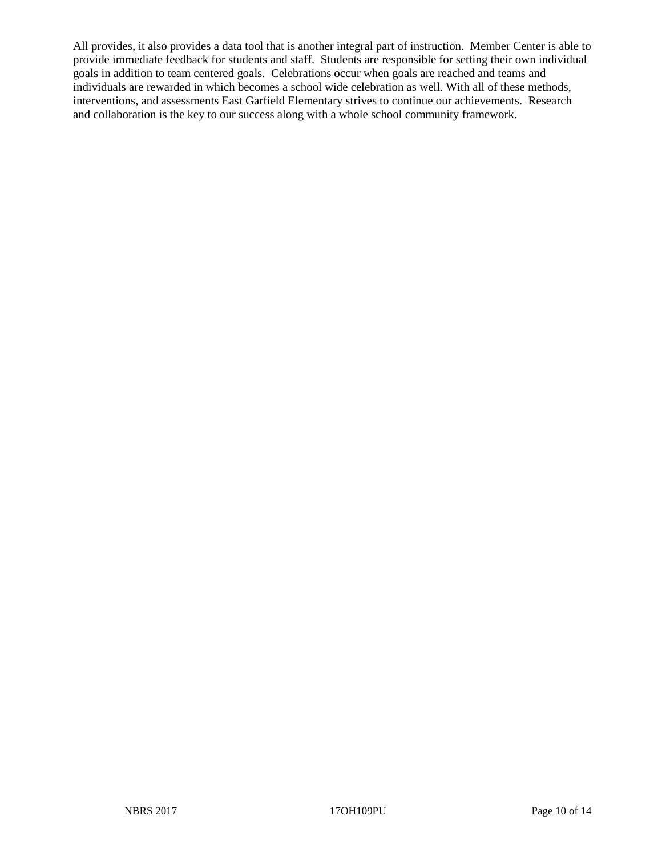All provides, it also provides a data tool that is another integral part of instruction. Member Center is able to provide immediate feedback for students and staff. Students are responsible for setting their own individual goals in addition to team centered goals. Celebrations occur when goals are reached and teams and individuals are rewarded in which becomes a school wide celebration as well. With all of these methods, interventions, and assessments East Garfield Elementary strives to continue our achievements. Research and collaboration is the key to our success along with a whole school community framework.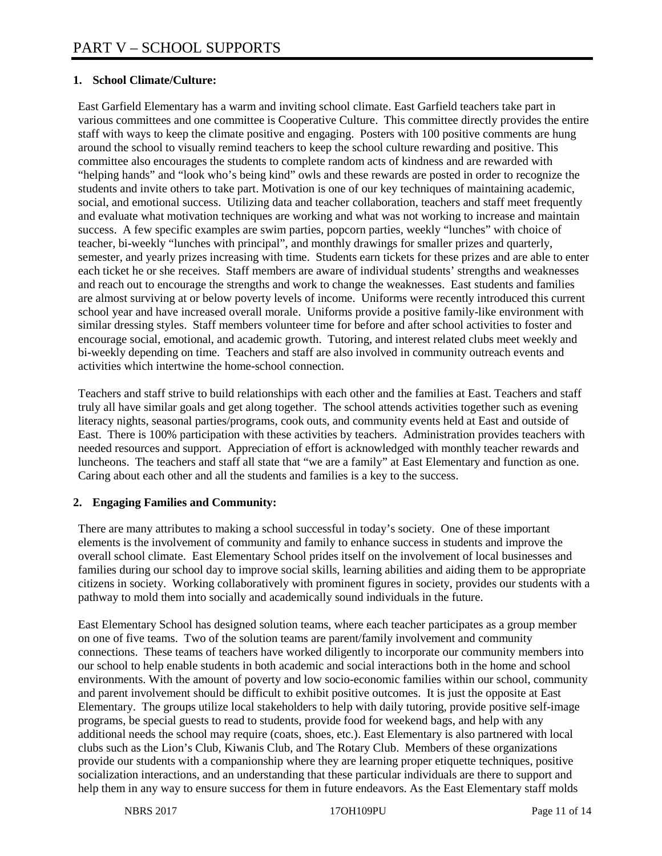## **1. School Climate/Culture:**

East Garfield Elementary has a warm and inviting school climate. East Garfield teachers take part in various committees and one committee is Cooperative Culture. This committee directly provides the entire staff with ways to keep the climate positive and engaging. Posters with 100 positive comments are hung around the school to visually remind teachers to keep the school culture rewarding and positive. This committee also encourages the students to complete random acts of kindness and are rewarded with "helping hands" and "look who's being kind" owls and these rewards are posted in order to recognize the students and invite others to take part. Motivation is one of our key techniques of maintaining academic, social, and emotional success. Utilizing data and teacher collaboration, teachers and staff meet frequently and evaluate what motivation techniques are working and what was not working to increase and maintain success. A few specific examples are swim parties, popcorn parties, weekly "lunches" with choice of teacher, bi-weekly "lunches with principal", and monthly drawings for smaller prizes and quarterly, semester, and yearly prizes increasing with time. Students earn tickets for these prizes and are able to enter each ticket he or she receives. Staff members are aware of individual students' strengths and weaknesses and reach out to encourage the strengths and work to change the weaknesses. East students and families are almost surviving at or below poverty levels of income. Uniforms were recently introduced this current school year and have increased overall morale. Uniforms provide a positive family-like environment with similar dressing styles. Staff members volunteer time for before and after school activities to foster and encourage social, emotional, and academic growth. Tutoring, and interest related clubs meet weekly and bi-weekly depending on time. Teachers and staff are also involved in community outreach events and activities which intertwine the home-school connection.

Teachers and staff strive to build relationships with each other and the families at East. Teachers and staff truly all have similar goals and get along together. The school attends activities together such as evening literacy nights, seasonal parties/programs, cook outs, and community events held at East and outside of East. There is 100% participation with these activities by teachers. Administration provides teachers with needed resources and support. Appreciation of effort is acknowledged with monthly teacher rewards and luncheons. The teachers and staff all state that "we are a family" at East Elementary and function as one. Caring about each other and all the students and families is a key to the success.

#### **2. Engaging Families and Community:**

There are many attributes to making a school successful in today's society. One of these important elements is the involvement of community and family to enhance success in students and improve the overall school climate. East Elementary School prides itself on the involvement of local businesses and families during our school day to improve social skills, learning abilities and aiding them to be appropriate citizens in society. Working collaboratively with prominent figures in society, provides our students with a pathway to mold them into socially and academically sound individuals in the future.

East Elementary School has designed solution teams, where each teacher participates as a group member on one of five teams. Two of the solution teams are parent/family involvement and community connections. These teams of teachers have worked diligently to incorporate our community members into our school to help enable students in both academic and social interactions both in the home and school environments. With the amount of poverty and low socio-economic families within our school, community and parent involvement should be difficult to exhibit positive outcomes. It is just the opposite at East Elementary. The groups utilize local stakeholders to help with daily tutoring, provide positive self-image programs, be special guests to read to students, provide food for weekend bags, and help with any additional needs the school may require (coats, shoes, etc.). East Elementary is also partnered with local clubs such as the Lion's Club, Kiwanis Club, and The Rotary Club. Members of these organizations provide our students with a companionship where they are learning proper etiquette techniques, positive socialization interactions, and an understanding that these particular individuals are there to support and help them in any way to ensure success for them in future endeavors. As the East Elementary staff molds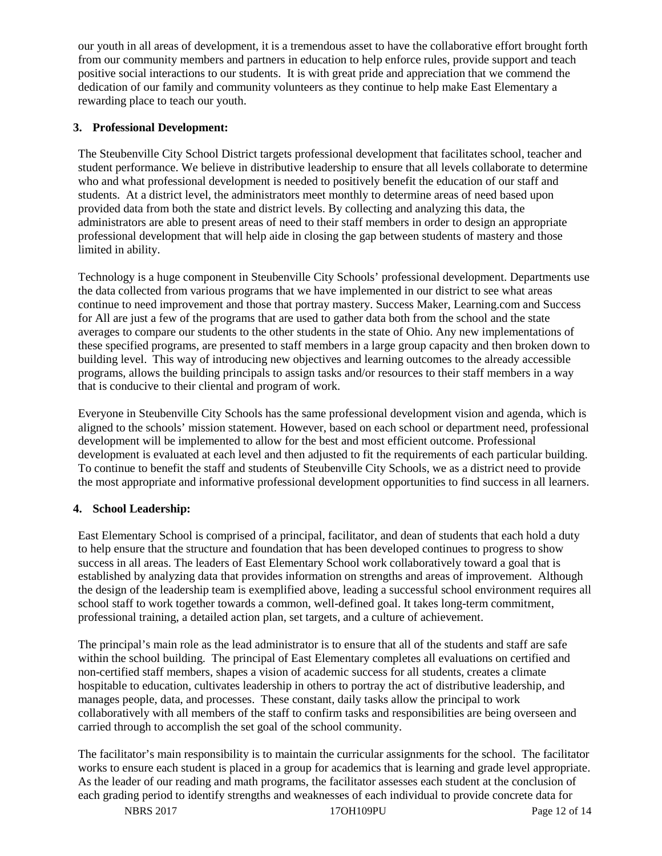our youth in all areas of development, it is a tremendous asset to have the collaborative effort brought forth from our community members and partners in education to help enforce rules, provide support and teach positive social interactions to our students. It is with great pride and appreciation that we commend the dedication of our family and community volunteers as they continue to help make East Elementary a rewarding place to teach our youth.

## **3. Professional Development:**

The Steubenville City School District targets professional development that facilitates school, teacher and student performance. We believe in distributive leadership to ensure that all levels collaborate to determine who and what professional development is needed to positively benefit the education of our staff and students. At a district level, the administrators meet monthly to determine areas of need based upon provided data from both the state and district levels. By collecting and analyzing this data, the administrators are able to present areas of need to their staff members in order to design an appropriate professional development that will help aide in closing the gap between students of mastery and those limited in ability.

Technology is a huge component in Steubenville City Schools' professional development. Departments use the data collected from various programs that we have implemented in our district to see what areas continue to need improvement and those that portray mastery. Success Maker, Learning.com and Success for All are just a few of the programs that are used to gather data both from the school and the state averages to compare our students to the other students in the state of Ohio. Any new implementations of these specified programs, are presented to staff members in a large group capacity and then broken down to building level. This way of introducing new objectives and learning outcomes to the already accessible programs, allows the building principals to assign tasks and/or resources to their staff members in a way that is conducive to their cliental and program of work.

Everyone in Steubenville City Schools has the same professional development vision and agenda, which is aligned to the schools' mission statement. However, based on each school or department need, professional development will be implemented to allow for the best and most efficient outcome. Professional development is evaluated at each level and then adjusted to fit the requirements of each particular building. To continue to benefit the staff and students of Steubenville City Schools, we as a district need to provide the most appropriate and informative professional development opportunities to find success in all learners.

# **4. School Leadership:**

East Elementary School is comprised of a principal, facilitator, and dean of students that each hold a duty to help ensure that the structure and foundation that has been developed continues to progress to show success in all areas. The leaders of East Elementary School work collaboratively toward a goal that is established by analyzing data that provides information on strengths and areas of improvement. Although the design of the leadership team is exemplified above, leading a successful school environment requires all school staff to work together towards a common, well-defined goal. It takes long-term commitment, professional training, a detailed action plan, set targets, and a culture of achievement.

The principal's main role as the lead administrator is to ensure that all of the students and staff are safe within the school building. The principal of East Elementary completes all evaluations on certified and non-certified staff members, shapes a vision of academic success for all students, creates a climate hospitable to education, cultivates leadership in others to portray the act of distributive leadership, and manages people, data, and processes. These constant, daily tasks allow the principal to work collaboratively with all members of the staff to confirm tasks and responsibilities are being overseen and carried through to accomplish the set goal of the school community.

The facilitator's main responsibility is to maintain the curricular assignments for the school. The facilitator works to ensure each student is placed in a group for academics that is learning and grade level appropriate. As the leader of our reading and math programs, the facilitator assesses each student at the conclusion of each grading period to identify strengths and weaknesses of each individual to provide concrete data for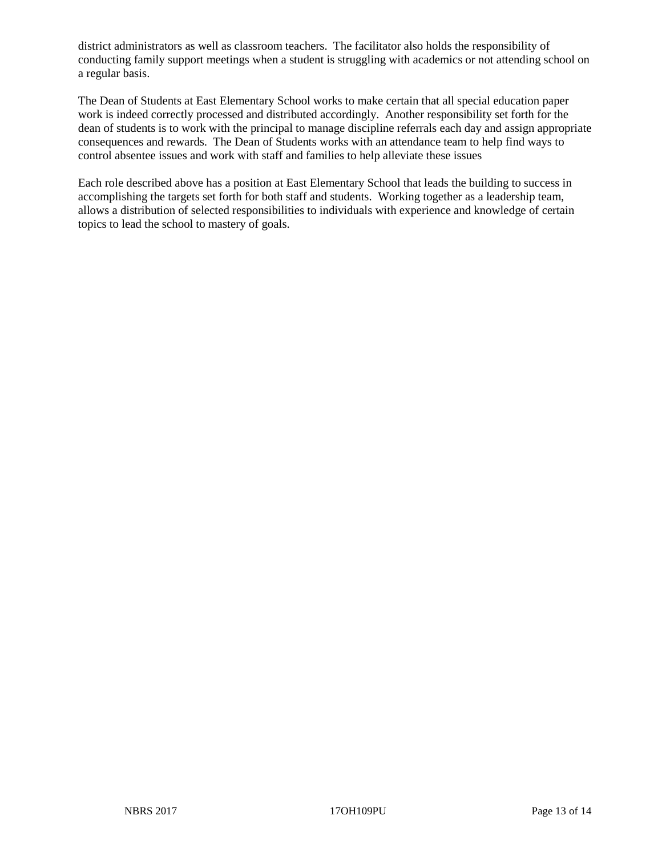district administrators as well as classroom teachers. The facilitator also holds the responsibility of conducting family support meetings when a student is struggling with academics or not attending school on a regular basis.

The Dean of Students at East Elementary School works to make certain that all special education paper work is indeed correctly processed and distributed accordingly. Another responsibility set forth for the dean of students is to work with the principal to manage discipline referrals each day and assign appropriate consequences and rewards. The Dean of Students works with an attendance team to help find ways to control absentee issues and work with staff and families to help alleviate these issues

Each role described above has a position at East Elementary School that leads the building to success in accomplishing the targets set forth for both staff and students. Working together as a leadership team, allows a distribution of selected responsibilities to individuals with experience and knowledge of certain topics to lead the school to mastery of goals.